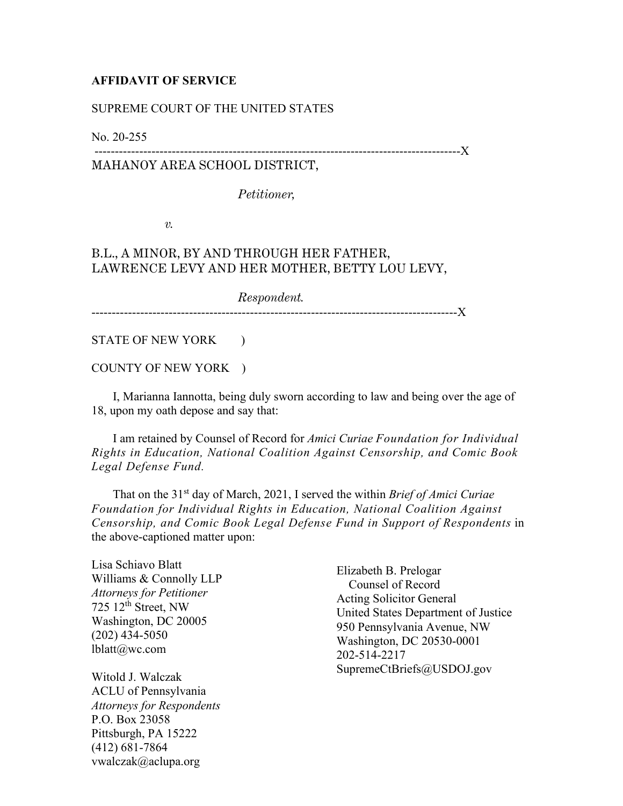## **AFFIDAVIT OF SERVICE**

## SUPREME COURT OF THE UNITED STATES

No. 20-255

## ------------------------------------------------------------------------------------------X MAHANOY AREA SCHOOL DISTRICT,

*Petitioner,*

*v.*

## B.L., A MINOR, BY AND THROUGH HER FATHER, LAWRENCE LEVY AND HER MOTHER, BETTY LOU LEVY,

*Respondent.* ------------------------------------------------------------------------------------------X

STATE OF NEW YORK )

COUNTY OF NEW YORK )

 I, Marianna Iannotta, being duly sworn according to law and being over the age of 18, upon my oath depose and say that:

 I am retained by Counsel of Record for *Amici Curiae Foundation for Individual Rights in Education, National Coalition Against Censorship, and Comic Book Legal Defense Fund.*

 That on the 31st day of March, 2021, I served the within *Brief of Amici Curiae Foundation for Individual Rights in Education, National Coalition Against Censorship, and Comic Book Legal Defense Fund in Support of Respondents* in the above-captioned matter upon:

Lisa Schiavo Blatt Williams & Connolly LLP *Attorneys for Petitioner*  $725$   $12<sup>th</sup>$  Street, NW Washington, DC 20005 (202) 434-5050 lblatt@wc.com

Witold J. Walczak ACLU of Pennsylvania *Attorneys for Respondents* P.O. Box 23058 Pittsburgh, PA 15222 (412) 681-7864 vwalczak@aclupa.org

Elizabeth B. Prelogar Counsel of Record Acting Solicitor General United States Department of Justice 950 Pennsylvania Avenue, NW Washington, DC 20530-0001 202-514-2217 SupremeCtBriefs@USDOJ.gov